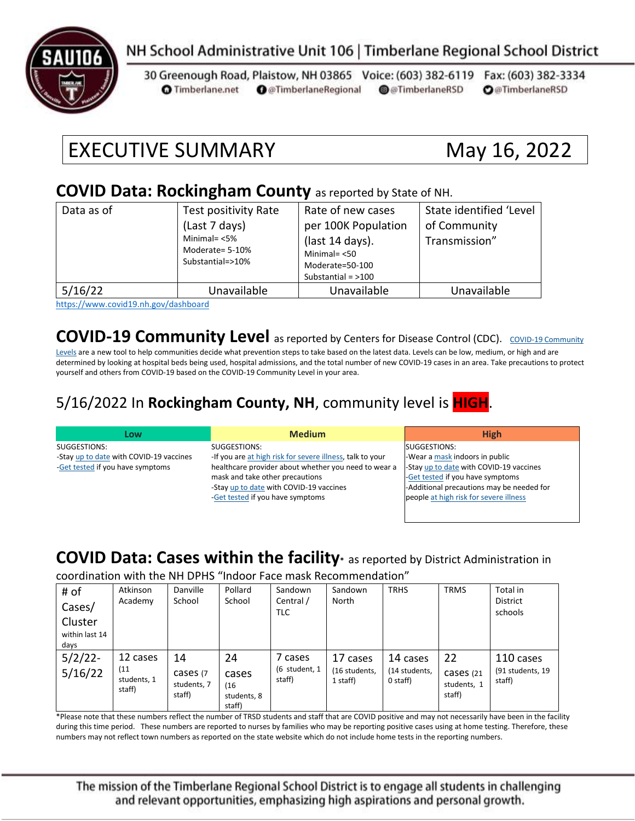

### NH School Administrative Unit 106 | Timberlane Regional School District

30 Greenough Road, Plaistow, NH 03865 Voice: (603) 382-6119 Fax: (603) 382-3334 **O** @TimberlaneRegional @@TimberlaneRSD **O**@TimberlaneRSD **O** Timberlane.net

# EXECUTIVE SUMMARY May 16, 2022

#### **COVID Data: Rockingham County** as reported by State of NH.

| Data as of | Test positivity Rate<br>(Last 7 days)<br>Minimal= $<$ 5%<br>Moderate= 5-10%<br>Substantial=>10% | Rate of new cases<br>per 100K Population<br>(last 14 days).<br>Minimal= $< 50$<br>Moderate=50-100<br>Substantial = $>100$ | State identified 'Level<br>of Community<br>Transmission" |
|------------|-------------------------------------------------------------------------------------------------|---------------------------------------------------------------------------------------------------------------------------|----------------------------------------------------------|
| 5/16/22    | Unavailable                                                                                     | Unavailable                                                                                                               | Unavailable                                              |

<https://www.covid19.nh.gov/dashboard>

#### **[COVID-19 Community](https://www.cdc.gov/coronavirus/2019-ncov/science/community-levels.html) Level** as reported by Centers for Disease Control (CDC). COVID-19 Community

[Levels](https://www.cdc.gov/coronavirus/2019-ncov/science/community-levels.html) are a new tool to help communities decide what prevention steps to take based on the latest data. Levels can be low, medium, or high and are determined by looking at hospital beds being used, hospital admissions, and the total number of new COVID-19 cases in an area. Take precautions to protect yourself and others from COVID-19 based on the COVID-19 Community Level in your area.

#### 5/16/2022 In **Rockingham County, NH**, community level is **HIGH**.

| Low                                     | <b>Medium</b>                                             | <b>High</b>                               |
|-----------------------------------------|-----------------------------------------------------------|-------------------------------------------|
| SUGGESTIONS:                            | SUGGESTIONS:                                              | SUGGESTIONS:                              |
| -Stay up to date with COVID-19 vaccines | -If you are at high risk for severe illness, talk to your | -Wear a mask indoors in public            |
| -Get tested if you have symptoms        | healthcare provider about whether you need to wear a      | -Stay up to date with COVID-19 vaccines   |
|                                         | mask and take other precautions                           | -Get tested if you have symptoms          |
|                                         | -Stay up to date with COVID-19 vaccines                   | -Additional precautions may be needed for |
|                                         | -Get tested if you have symptoms                          | people at high risk for severe illness    |
|                                         |                                                           |                                           |

#### **COVID Data: Cases within the facility\*** as reported by District Administration in

coordination with the NH DPHS "Indoor Face mask Recommendation"

| # of<br>Cases/<br>Cluster<br>within last 14<br>days | Atkinson<br>Academy                       | Danville<br>School                      | Pollard<br>School                            | Sandown<br>Central /<br>TLC        | Sandown<br>North                      | <b>TRHS</b>                           | <b>TRMS</b>                              | Total in<br><b>District</b><br>schools  |
|-----------------------------------------------------|-------------------------------------------|-----------------------------------------|----------------------------------------------|------------------------------------|---------------------------------------|---------------------------------------|------------------------------------------|-----------------------------------------|
| $5/2/22$ -<br>5/16/22                               | 12 cases<br>(11)<br>students, 1<br>staff) | 14<br>cases (7<br>students, 7<br>staff) | 24<br>cases<br>(16)<br>students, 8<br>staff) | 7 cases<br>(6 student, 1<br>staff) | 17 cases<br>(16 students,<br>1 staff) | 14 cases<br>(14 students,<br>0 staff) | 22<br>Cases (21<br>students, 1<br>staff) | 110 cases<br>(91 students, 19<br>staff) |

\*Please note that these numbers reflect the number of TRSD students and staff that are COVID positive and may not necessarily have been in the facility during this time period. These numbers are reported to nurses by families who may be reporting positive cases using at home testing. Therefore, these numbers may not reflect town numbers as reported on the state website which do not include home tests in the reporting numbers.

The mission of the Timberlane Regional School District is to engage all students in challenging and relevant opportunities, emphasizing high aspirations and personal growth.